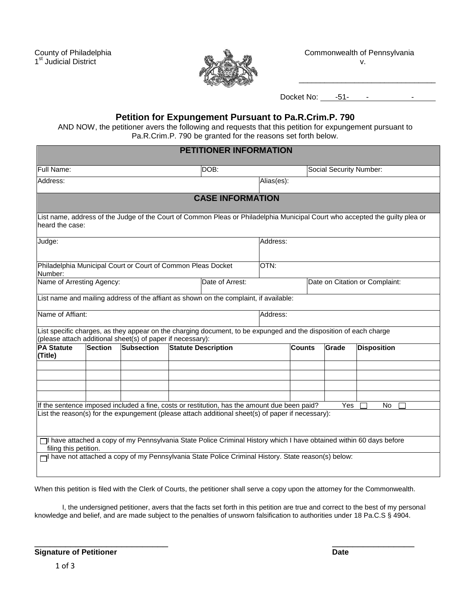1<sup>st</sup> Judicial District v.



County of Philadelphia Commonwealth of Pennsylvania

\_\_\_\_\_\_\_\_\_\_\_\_\_\_\_\_\_\_\_\_\_\_\_\_\_\_\_\_\_\_\_\_

Docket No: -51- - - .

## **Petition for Expungement Pursuant to Pa.R.Crim.P. 790**

AND NOW, the petitioner avers the following and requests that this petition for expungement pursuant to Pa.R.Crim.P. 790 be granted for the reasons set forth below.

|                                                                         |                |                                                            |  | <b>PETITIONER INFORMATION</b>                                                                                     |            |                                |       |                                                                                                                              |  |  |
|-------------------------------------------------------------------------|----------------|------------------------------------------------------------|--|-------------------------------------------------------------------------------------------------------------------|------------|--------------------------------|-------|------------------------------------------------------------------------------------------------------------------------------|--|--|
| Full Name:                                                              |                |                                                            |  | DOB:                                                                                                              |            |                                |       | Social Security Number:                                                                                                      |  |  |
| Address:                                                                |                |                                                            |  |                                                                                                                   | Alias(es): |                                |       |                                                                                                                              |  |  |
|                                                                         |                |                                                            |  | <b>CASE INFORMATION</b>                                                                                           |            |                                |       |                                                                                                                              |  |  |
| heard the case:                                                         |                |                                                            |  |                                                                                                                   |            |                                |       | List name, address of the Judge of the Court of Common Pleas or Philadelphia Municipal Court who accepted the guilty plea or |  |  |
| Judge:                                                                  |                |                                                            |  |                                                                                                                   |            | Address:                       |       |                                                                                                                              |  |  |
| Philadelphia Municipal Court or Court of Common Pleas Docket<br>Number: |                |                                                            |  |                                                                                                                   | OTN:       |                                |       |                                                                                                                              |  |  |
| Name of Arresting Agency:                                               |                |                                                            |  | Date of Arrest:                                                                                                   |            | Date on Citation or Complaint: |       |                                                                                                                              |  |  |
|                                                                         |                |                                                            |  | List name and mailing address of the affiant as shown on the complaint, if available:                             |            |                                |       |                                                                                                                              |  |  |
| Name of Affiant:                                                        |                |                                                            |  |                                                                                                                   |            | Address:                       |       |                                                                                                                              |  |  |
|                                                                         |                | (please attach additional sheet(s) of paper if necessary): |  | List specific charges, as they appear on the charging document, to be expunged and the disposition of each charge |            |                                |       |                                                                                                                              |  |  |
| <b>PA Statute</b><br>(Title)                                            | <b>Section</b> | <b>Subsection</b>                                          |  | <b>Statute Description</b>                                                                                        |            | <b>Counts</b>                  | Grade | <b>Disposition</b>                                                                                                           |  |  |
|                                                                         |                |                                                            |  |                                                                                                                   |            |                                |       |                                                                                                                              |  |  |
|                                                                         |                |                                                            |  |                                                                                                                   |            |                                |       |                                                                                                                              |  |  |
|                                                                         |                |                                                            |  | If the sentence imposed included a fine, costs or restitution, has the amount due been paid?                      |            |                                | Yes   | No.                                                                                                                          |  |  |
|                                                                         |                |                                                            |  | List the reason(s) for the expungement (please attach additional sheet(s) of paper if necessary):                 |            |                                |       |                                                                                                                              |  |  |
| filing this petition.                                                   |                |                                                            |  |                                                                                                                   |            |                                |       | Il have attached a copy of my Pennsylvania State Police Criminal History which I have obtained within 60 days before         |  |  |
|                                                                         |                |                                                            |  | Thave not attached a copy of my Pennsylvania State Police Criminal History. State reason(s) below:                |            |                                |       |                                                                                                                              |  |  |

When this petition is filed with the Clerk of Courts, the petitioner shall serve a copy upon the attorney for the Commonwealth.

 $\overline{\phantom{a}}$  , and the contract of the contract of the contract of the contract of the contract of the contract of the contract of the contract of the contract of the contract of the contract of the contract of the contrac

I, the undersigned petitioner, avers that the facts set forth in this petition are true and correct to the best of my personal knowledge and belief, and are made subject to the penalties of unsworn falsification to authorities under 18 Pa.C.S § 4904.

**Signature of Petitioner Contract Contract Contract Contract Contract Contract Contract Contract Contract Contract Contract Contract Contract Contract Contract Contract Contract Contract Contract Contract Contract Contract**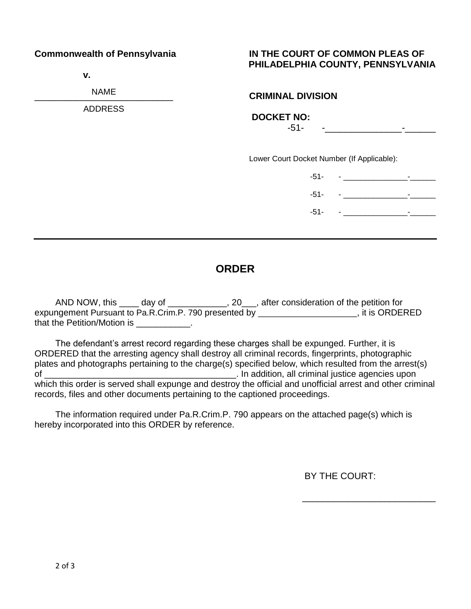**v.**

NAME

ADDRESS

# **Commonwealth of Pennsylvania IN THE COURT OF COMMON PLEAS OF PHILADELPHIA COUNTY, PENNSYLVANIA**

### \_\_\_\_\_\_\_\_\_\_\_\_\_\_\_\_\_\_\_\_\_\_\_\_\_\_\_ **CRIMINAL DIVISION**

 **DOCKET NO:** 

-51- -\_\_\_\_\_\_\_\_\_\_\_\_\_\_\_-\_\_\_\_\_\_

Lower Court Docket Number (If Applicable):

-51- - \_\_\_\_\_\_\_\_\_\_\_\_\_\_\_-\_\_\_\_\_\_ -51- <u>- \_ \_ \_ \_ \_ \_ \_ \_</u> \_ \_ \_ -51- <u>- \_ \_ \_ \_ \_ \_ \_</u> \_ \_ \_ \_

# **ORDER**

AND NOW, this \_\_\_\_ day of \_\_\_\_\_\_\_\_\_\_\_, 20\_\_\_, after consideration of the petition for expungement Pursuant to Pa.R.Crim.P. 790 presented by \_\_\_\_\_\_\_\_\_\_\_\_\_\_\_\_\_\_\_\_\_\_, it is ORDERED that the Petition/Motion is **Example 2**.

The defendant's arrest record regarding these charges shall be expunged. Further, it is ORDERED that the arresting agency shall destroy all criminal records, fingerprints, photographic plates and photographs pertaining to the charge(s) specified below, which resulted from the arrest(s) of \_\_\_\_\_\_\_\_\_\_\_\_\_\_\_\_\_\_\_\_\_\_\_\_\_\_\_\_\_\_\_\_\_\_\_\_\_\_\_. In addition, all criminal justice agencies upon which this order is served shall expunge and destroy the official and unofficial arrest and other criminal records, files and other documents pertaining to the captioned proceedings.

The information required under Pa.R.Crim.P. 790 appears on the attached page(s) which is hereby incorporated into this ORDER by reference.

BY THE COURT:

\_\_\_\_\_\_\_\_\_\_\_\_\_\_\_\_\_\_\_\_\_\_\_\_\_\_